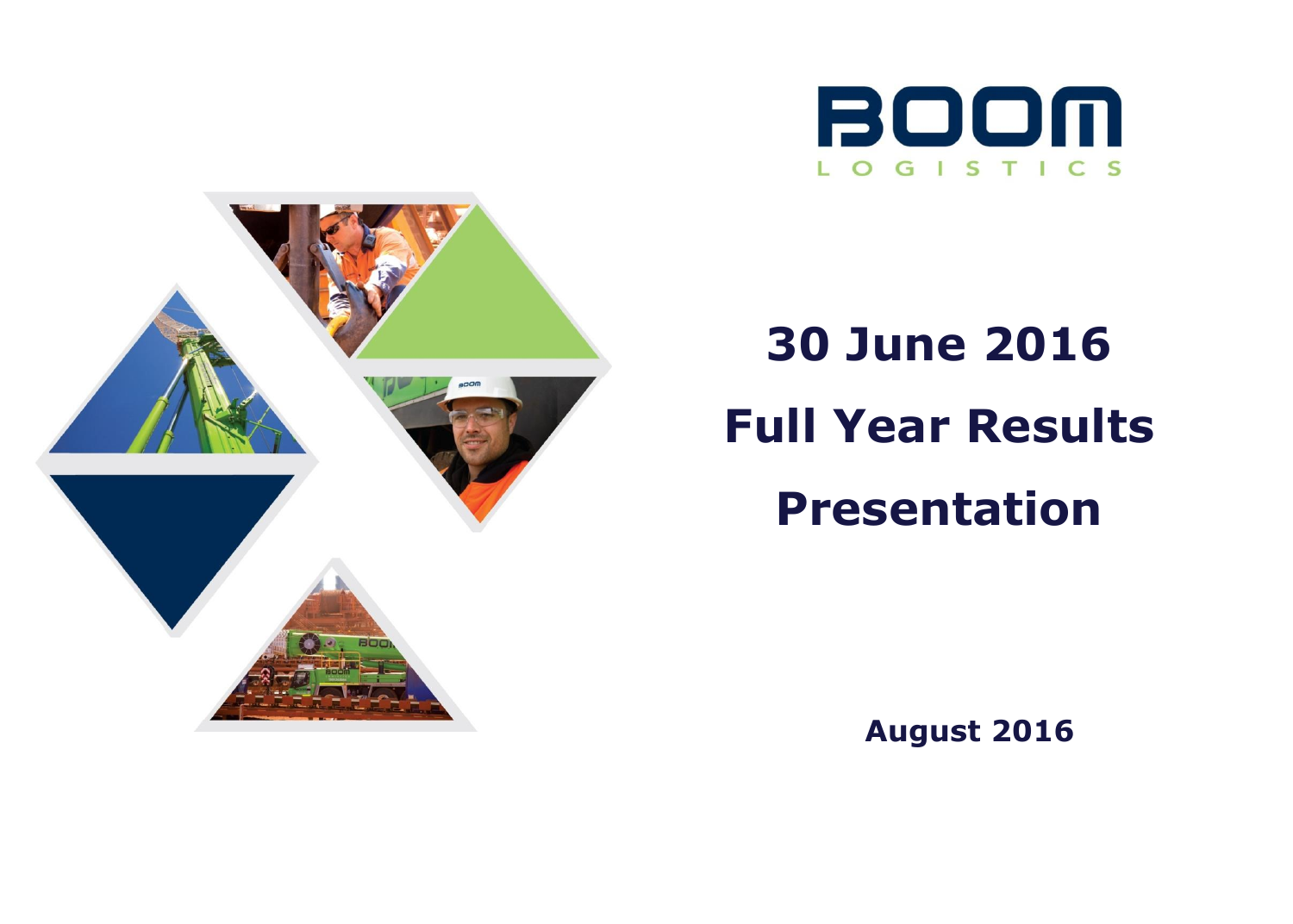



# **30 June 2016 Full Year Results Presentation**

**August 2016**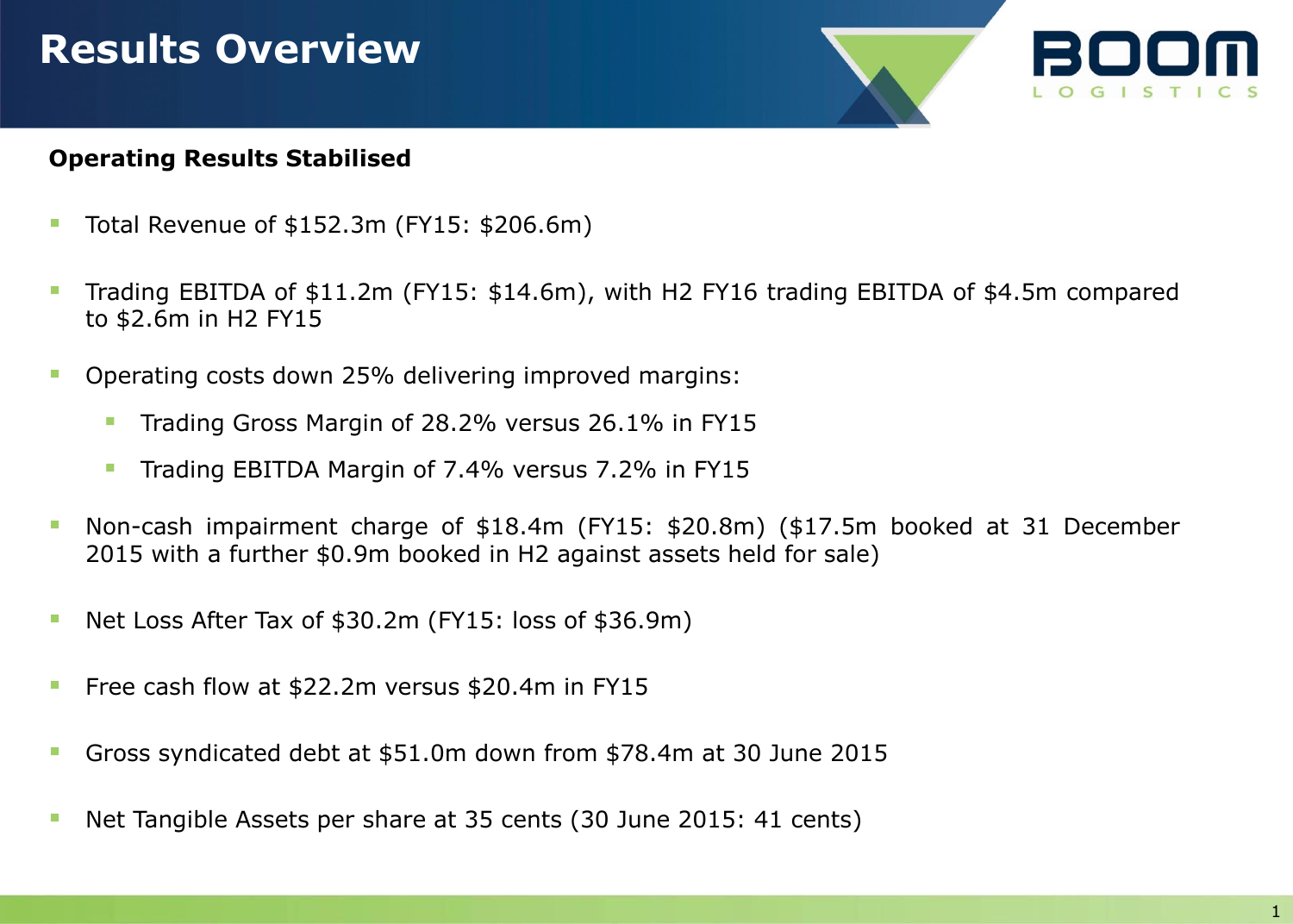### **Results Overview**

#### **Operating Results Stabilised**

- $\blacksquare$  Total Revenue of \$152.3m (FY15: \$206.6m)
- Trading EBITDA of \$11.2m (FY15: \$14.6m), with H2 FY16 trading EBITDA of \$4.5m compared to \$2.6m in H2 FY15
- Operating costs down 25% delivering improved margins:
	- **Trading Gross Margin of 28.2% versus 26.1% in FY15**
	- **Trading EBITDA Margin of 7.4% versus 7.2% in FY15**
- Non-cash impairment charge of \$18.4m (FY15: \$20.8m) (\$17.5m booked at 31 December 2015 with a further \$0.9m booked in H2 against assets held for sale)
- Net Loss After Tax of \$30.2m (FY15: loss of \$36.9m)
- Free cash flow at \$22.2m versus \$20.4m in FY15
- Gross syndicated debt at \$51.0m down from \$78.4m at 30 June 2015
- Net Tangible Assets per share at 35 cents (30 June 2015: 41 cents)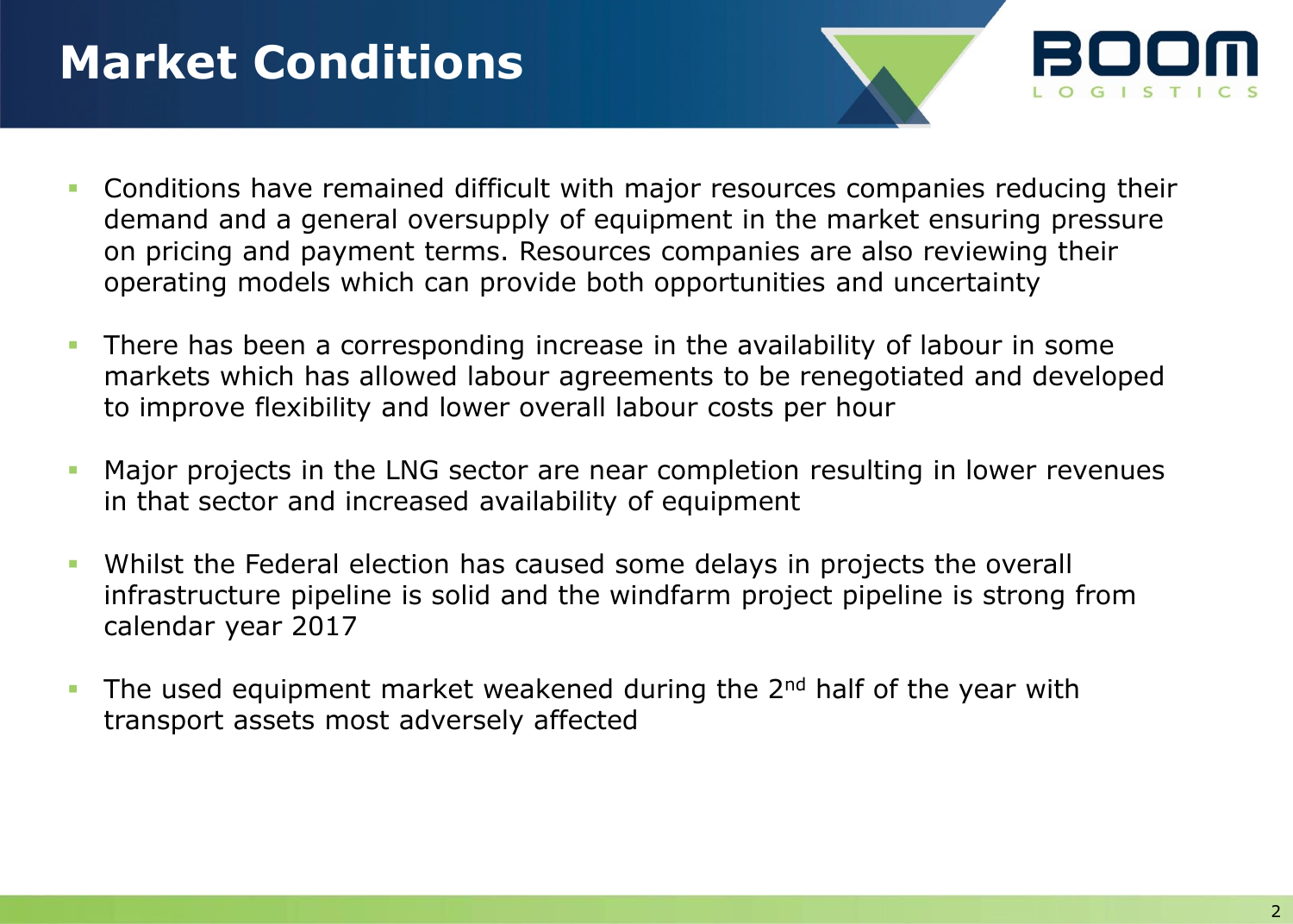## **Market Conditions**



- Conditions have remained difficult with major resources companies reducing their demand and a general oversupply of equipment in the market ensuring pressure on pricing and payment terms. Resources companies are also reviewing their operating models which can provide both opportunities and uncertainty
- There has been a corresponding increase in the availability of labour in some markets which has allowed labour agreements to be renegotiated and developed to improve flexibility and lower overall labour costs per hour
- Major projects in the LNG sector are near completion resulting in lower revenues in that sector and increased availability of equipment
- Whilst the Federal election has caused some delays in projects the overall infrastructure pipeline is solid and the windfarm project pipeline is strong from calendar year 2017
- The used equipment market weakened during the 2<sup>nd</sup> half of the year with transport assets most adversely affected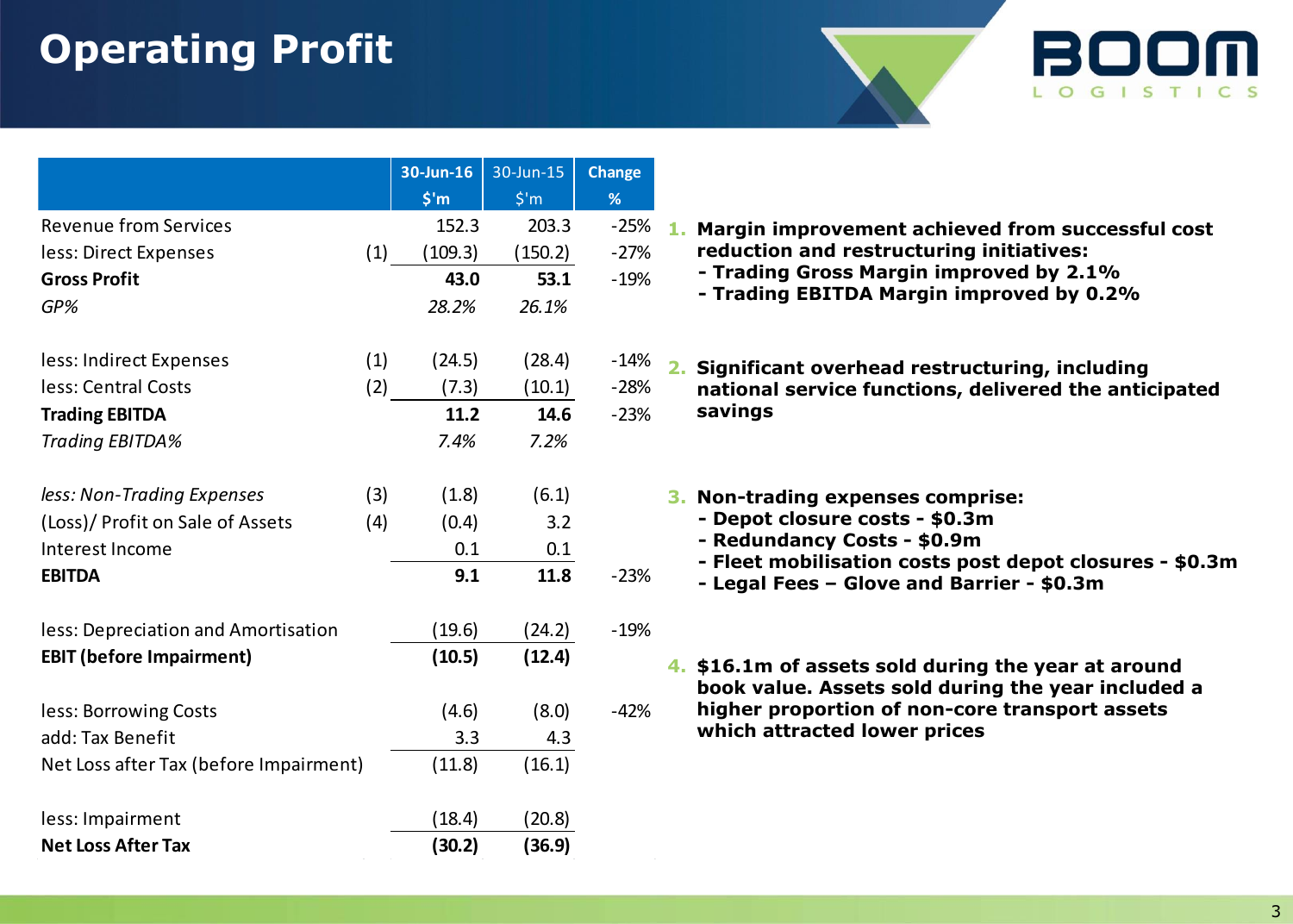### **Operating Profit**

|                                                                                                                        |     | $30$ -Jun-16   | 30-Jun-15                           | Change |    |                                                                                                      |  |  |
|------------------------------------------------------------------------------------------------------------------------|-----|----------------|-------------------------------------|--------|----|------------------------------------------------------------------------------------------------------|--|--|
|                                                                                                                        |     | $$^{\prime}$ m | $\mathsf{S}^{\mathsf{I}}\mathsf{m}$ | %      |    |                                                                                                      |  |  |
| <b>Revenue from Services</b>                                                                                           |     | 152.3          | 203.3                               | $-25%$ |    | Margin improvement achieved from successful cost<br>reduction and restructuring initiatives:         |  |  |
| less: Direct Expenses                                                                                                  | (1) | (109.3)        | (150.2)                             | $-27%$ |    | - Trading Gross Margin improved by 2.1%                                                              |  |  |
| <b>Gross Profit</b>                                                                                                    |     | 43.0           | 53.1                                | $-19%$ |    | - Trading EBITDA Margin improved by 0.2%                                                             |  |  |
| GP%                                                                                                                    |     | 28.2%          | 26.1%                               |        |    |                                                                                                      |  |  |
| less: Indirect Expenses                                                                                                | (1) | (24.5)         | (28.4)                              | $-14%$ | 2. | Significant overhead restructuring, including                                                        |  |  |
| less: Central Costs                                                                                                    | (2) | (7.3)          | (10.1)                              | $-28%$ |    | national service functions, delivered the anticipated                                                |  |  |
| <b>Trading EBITDA</b>                                                                                                  |     | 11.2           | 14.6                                | $-23%$ |    | savings                                                                                              |  |  |
| Trading EBITDA%                                                                                                        |     | 7.4%           | 7.2%                                |        |    |                                                                                                      |  |  |
| less: Non-Trading Expenses                                                                                             | (3) | (1.8)          | (6.1)                               |        |    | 3. Non-trading expenses comprise:                                                                    |  |  |
| (Loss)/ Profit on Sale of Assets                                                                                       | (4) | (0.4)          | 3.2                                 |        |    | - Depot closure costs - \$0.3m                                                                       |  |  |
| Interest Income                                                                                                        |     | 0.1            | 0.1                                 |        |    | - Redundancy Costs - \$0.9m                                                                          |  |  |
| <b>EBITDA</b>                                                                                                          |     | 9.1            | 11.8                                | $-23%$ |    | - Fleet mobilisation costs post depot closures - \$0.3m<br>- Legal Fees - Glove and Barrier - \$0.3m |  |  |
| less: Depreciation and Amortisation                                                                                    |     | (19.6)         | (24.2)                              | $-19%$ |    |                                                                                                      |  |  |
| <b>EBIT (before Impairment)</b><br>less: Borrowing Costs<br>add: Tax Benefit<br>Net Loss after Tax (before Impairment) |     | (10.5)         | (12.4)                              |        |    | 4. \$16.1m of assets sold during the year at around                                                  |  |  |
|                                                                                                                        |     | (4.6)          | (8.0)                               | $-42%$ |    | book value. Assets sold during the year included a<br>higher proportion of non-core transport assets |  |  |
|                                                                                                                        |     | 3.3            | 4.3                                 |        |    | which attracted lower prices                                                                         |  |  |
|                                                                                                                        |     | (11.8)         | (16.1)                              |        |    |                                                                                                      |  |  |
| less: Impairment                                                                                                       |     | (18.4)         | (20.8)                              |        |    |                                                                                                      |  |  |
| <b>Net Loss After Tax</b>                                                                                              |     | (30.2)         | (36.9)                              |        |    |                                                                                                      |  |  |

**BOOM** 

LOGISTICS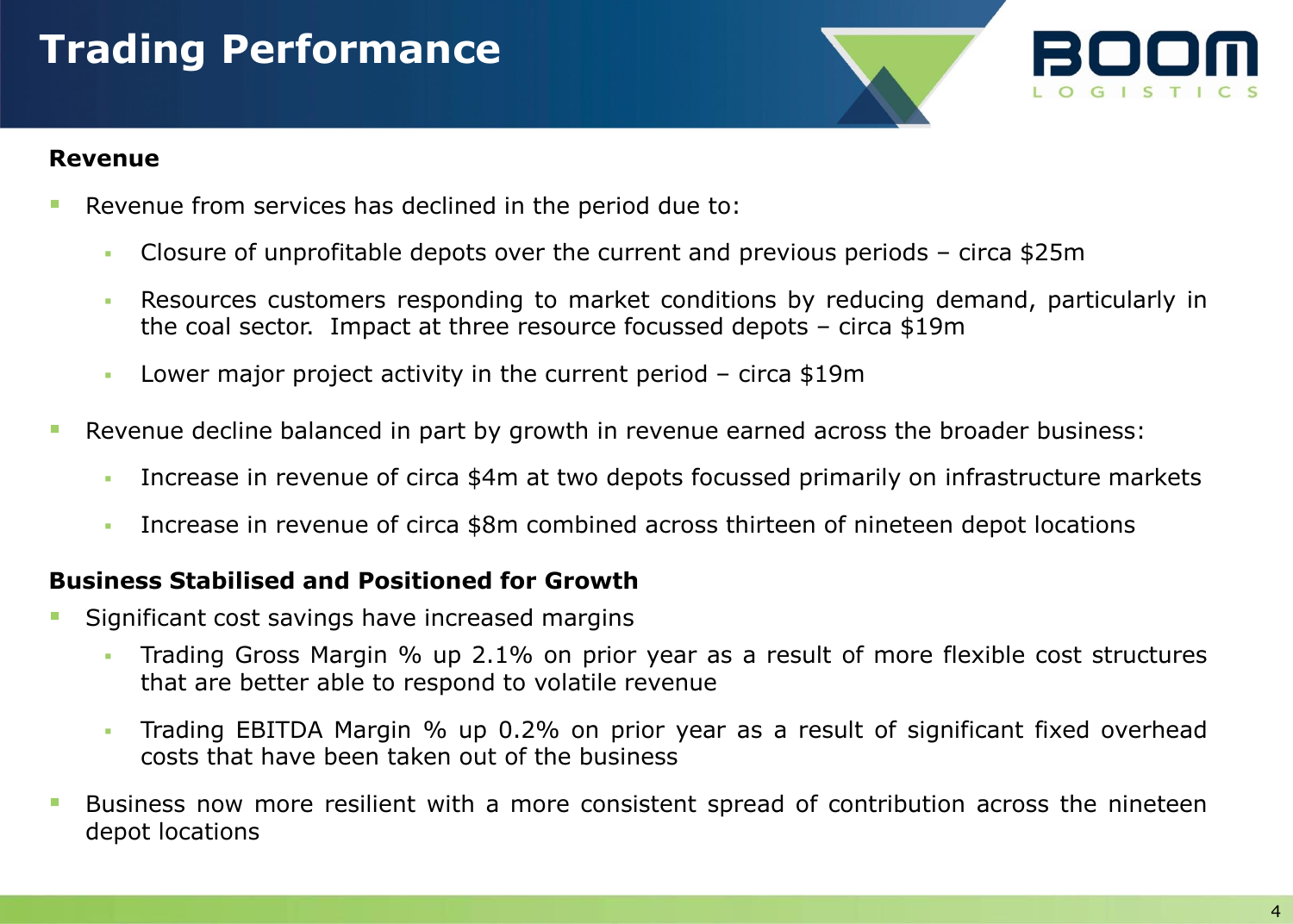### **Trading Performance**

#### **Revenue**

- Revenue from services has declined in the period due to:
	- Closure of unprofitable depots over the current and previous periods circa \$25m
	- Resources customers responding to market conditions by reducing demand, particularly in the coal sector. Impact at three resource focussed depots – circa \$19m
	- Lower major project activity in the current period circa \$19m
- Revenue decline balanced in part by growth in revenue earned across the broader business:
	- Increase in revenue of circa \$4m at two depots focussed primarily on infrastructure markets
	- Increase in revenue of circa \$8m combined across thirteen of nineteen depot locations

#### **Business Stabilised and Positioned for Growth**

- Significant cost savings have increased margins
	- Trading Gross Margin % up 2.1% on prior year as a result of more flexible cost structures that are better able to respond to volatile revenue
	- Trading EBITDA Margin % up 0.2% on prior year as a result of significant fixed overhead costs that have been taken out of the business
- Business now more resilient with a more consistent spread of contribution across the nineteen depot locations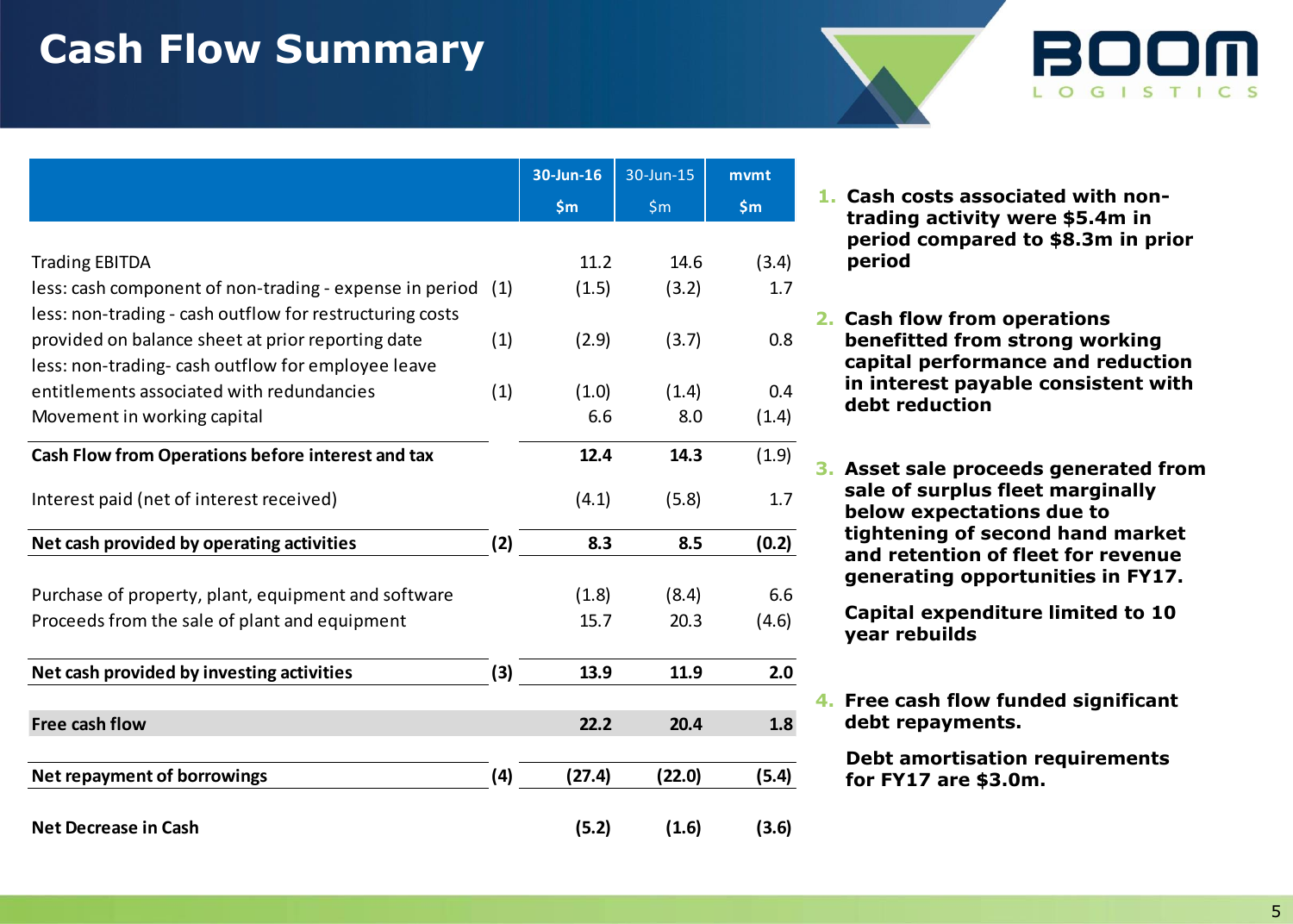### **Cash Flow Summary**

|                                                          |     | 30-Jun-16 | 30-Jun-15 | mvmt  |
|----------------------------------------------------------|-----|-----------|-----------|-------|
|                                                          |     | \$m\$     | \$m\$     | \$m\$ |
|                                                          |     |           |           |       |
| <b>Trading EBITDA</b>                                    |     | 11.2      | 14.6      | (3.4) |
| less: cash component of non-trading - expense in period  | (1) | (1.5)     | (3.2)     | 1.7   |
| less: non-trading - cash outflow for restructuring costs |     |           |           |       |
| provided on balance sheet at prior reporting date        | (1) | (2.9)     | (3.7)     | 0.8   |
| less: non-trading- cash outflow for employee leave       |     |           |           |       |
| entitlements associated with redundancies                | (1) | (1.0)     | (1.4)     | 0.4   |
| Movement in working capital                              |     | 6.6       | 8.0       | (1.4) |
| Cash Flow from Operations before interest and tax        |     | 12.4      | 14.3      | (1.9) |
| Interest paid (net of interest received)                 |     | (4.1)     | (5.8)     | 1.7   |
| Net cash provided by operating activities                | (2) | 8.3       | 8.5       | (0.2) |
| Purchase of property, plant, equipment and software      |     | (1.8)     | (8.4)     | 6.6   |
| Proceeds from the sale of plant and equipment            |     | 15.7      | 20.3      | (4.6) |
| Net cash provided by investing activities                | (3) | 13.9      | 11.9      | 2.0   |
|                                                          |     |           |           |       |
| Free cash flow                                           |     | 22.2      | 20.4      | 1.8   |
| <b>Net repayment of borrowings</b>                       | (4) | (27.4)    | (22.0)    | (5.4) |
| <b>Net Decrease in Cash</b>                              |     | (5.2)     | (1.6)     | (3.6) |

**1. Cash costs associated with nontrading activity were \$5.4m in period compared to \$8.3m in prior period**

BOOI

L O G I S T I C S

- **2. Cash flow from operations benefitted from strong working capital performance and reduction in interest payable consistent with debt reduction**
- **3. Asset sale proceeds generated from sale of surplus fleet marginally below expectations due to tightening of second hand market and retention of fleet for revenue generating opportunities in FY17.**

**Capital expenditure limited to 10 year rebuilds**

**4. Free cash flow funded significant debt repayments.** 

 **Debt amortisation requirements for FY17 are \$3.0m.**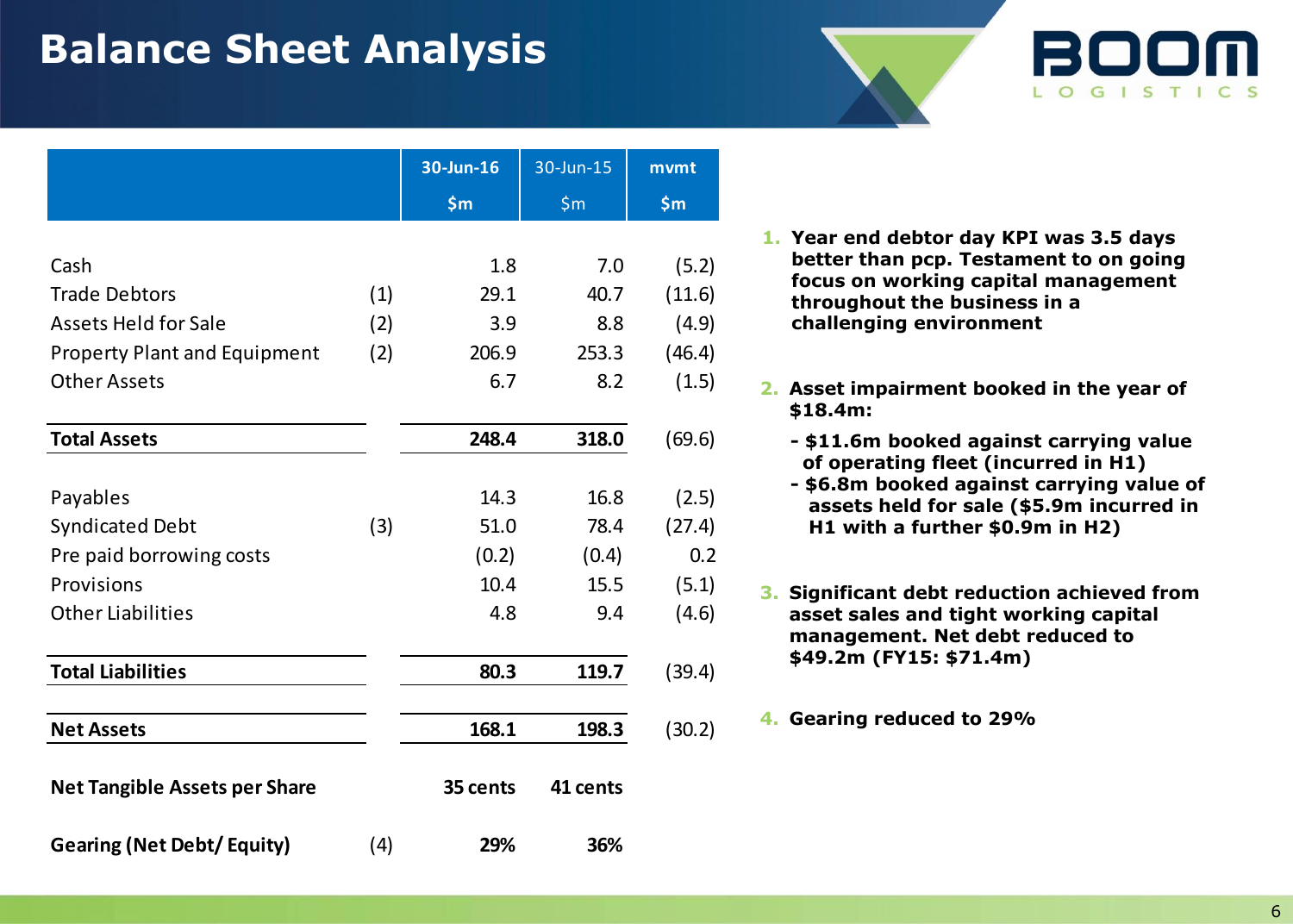### **Balance Sheet Analysis**

|                                      |     | 30-Jun-16 | 30-Jun-15 | mvmt   |
|--------------------------------------|-----|-----------|-----------|--------|
|                                      |     | \$m\$     | \$m\$     | \$m\$  |
|                                      |     |           |           |        |
| Cash                                 |     | 1.8       | 7.0       | (5.2)  |
| <b>Trade Debtors</b>                 | (1) | 29.1      | 40.7      | (11.6) |
| <b>Assets Held for Sale</b>          | (2) | 3.9       | 8.8       | (4.9)  |
| <b>Property Plant and Equipment</b>  | (2) | 206.9     | 253.3     | (46.4) |
| <b>Other Assets</b>                  |     | 6.7       | 8.2       | (1.5)  |
| <b>Total Assets</b>                  |     | 248.4     | 318.0     | (69.6) |
|                                      |     |           |           |        |
| Payables                             |     | 14.3      | 16.8      | (2.5)  |
| <b>Syndicated Debt</b>               | (3) | 51.0      | 78.4      | (27.4) |
| Pre paid borrowing costs             |     | (0.2)     | (0.4)     | 0.2    |
| Provisions                           |     | 10.4      | 15.5      | (5.1)  |
| <b>Other Liabilities</b>             |     | 4.8       | 9.4       | (4.6)  |
| <b>Total Liabilities</b>             |     | 80.3      | 119.7     | (39.4) |
| <b>Net Assets</b>                    |     | 168.1     | 198.3     | (30.2) |
| <b>Net Tangible Assets per Share</b> |     | 35 cents  | 41 cents  |        |
| <b>Gearing (Net Debt/ Equity)</b>    | (4) | 29%       | 36%       |        |

**1. Year end debtor day KPI was 3.5 days better than pcp. Testament to on going focus on working capital management throughout the business in a challenging environment**

LOGISTIC

- **2. Asset impairment booked in the year of \$18.4m:**
	- **- \$11.6m booked against carrying value of operating fleet (incurred in H1)**
	- **- \$6.8m booked against carrying value of assets held for sale (\$5.9m incurred in H1 with a further \$0.9m in H2)**
- **3. Significant debt reduction achieved from asset sales and tight working capital management. Net debt reduced to \$49.2m (FY15: \$71.4m)**

**4. Gearing reduced to 29%**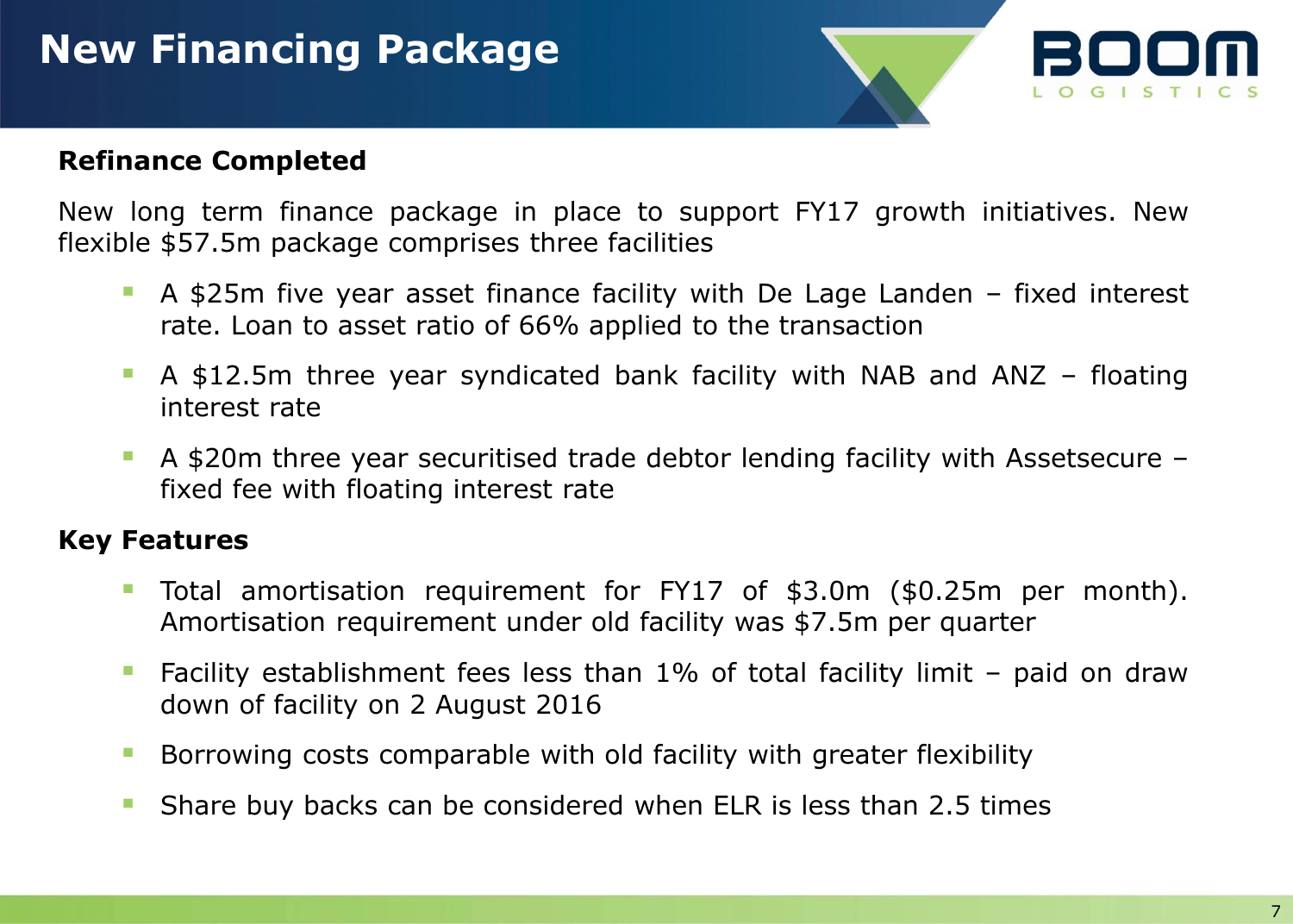

#### **Refinance Completed**

New long term finance package in place to support FY17 growth initiatives. New flexible \$57.5m package comprises three facilities

- A \$25m five year asset finance facility with De Lage Landen fixed interest rate. Loan to asset ratio of 66% applied to the transaction
- A \$12.5m three year syndicated bank facility with NAB and ANZ floating interest rate
- A \$20m three year securitised trade debtor lending facility with Assetsecure fixed fee with floating interest rate

#### **Key Features**

- Total amortisation requirement for FY17 of \$3.0m (\$0.25m per month). Amortisation requirement under old facility was \$7.5m per quarter
- Facility establishment fees less than 1% of total facility limit paid on draw down of facility on 2 August 2016
- **Borrowing costs comparable with old facility with greater flexibility**
- Share buy backs can be considered when ELR is less than 2.5 times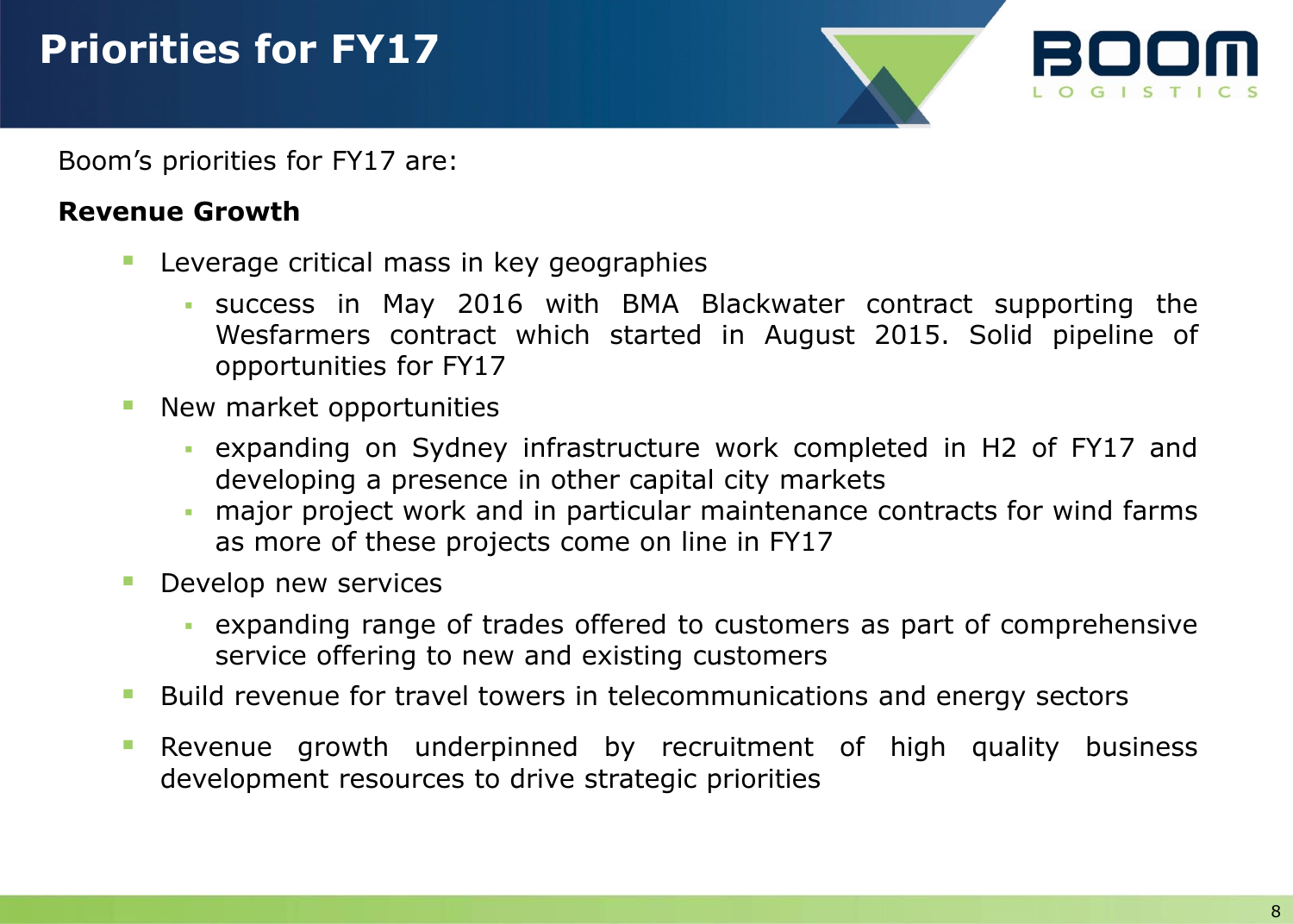Boom's priorities for FY17 are:

#### **Revenue Growth**

- Leverage critical mass in key geographies
	- success in May 2016 with BMA Blackwater contract supporting the Wesfarmers contract which started in August 2015. Solid pipeline of opportunities for FY17
- New market opportunities
	- expanding on Sydney infrastructure work completed in H2 of FY17 and developing a presence in other capital city markets
	- major project work and in particular maintenance contracts for wind farms as more of these projects come on line in FY17
- **Develop new services** 
	- expanding range of trades offered to customers as part of comprehensive service offering to new and existing customers
- **Build revenue for travel towers in telecommunications and energy sectors**
- Revenue growth underpinned by recruitment of high quality business development resources to drive strategic priorities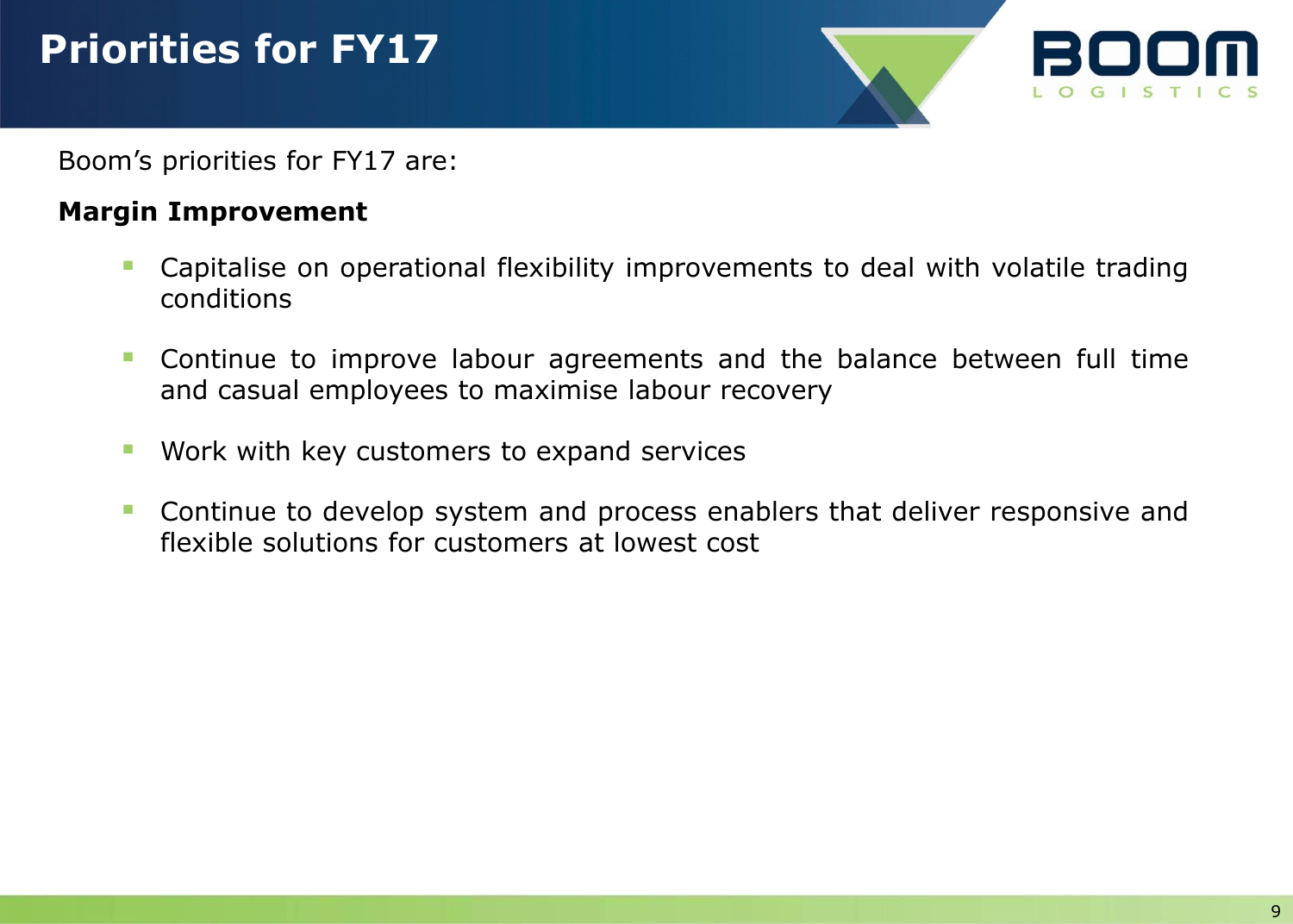Boom's priorities for FY17 are:

### **Margin Improvement**

- Capitalise on operational flexibility improvements to deal with volatile trading conditions
- Continue to improve labour agreements and the balance between full time and casual employees to maximise labour recovery
- **Work with key customers to expand services**
- **Continue to develop system and process enablers that deliver responsive and** flexible solutions for customers at lowest cost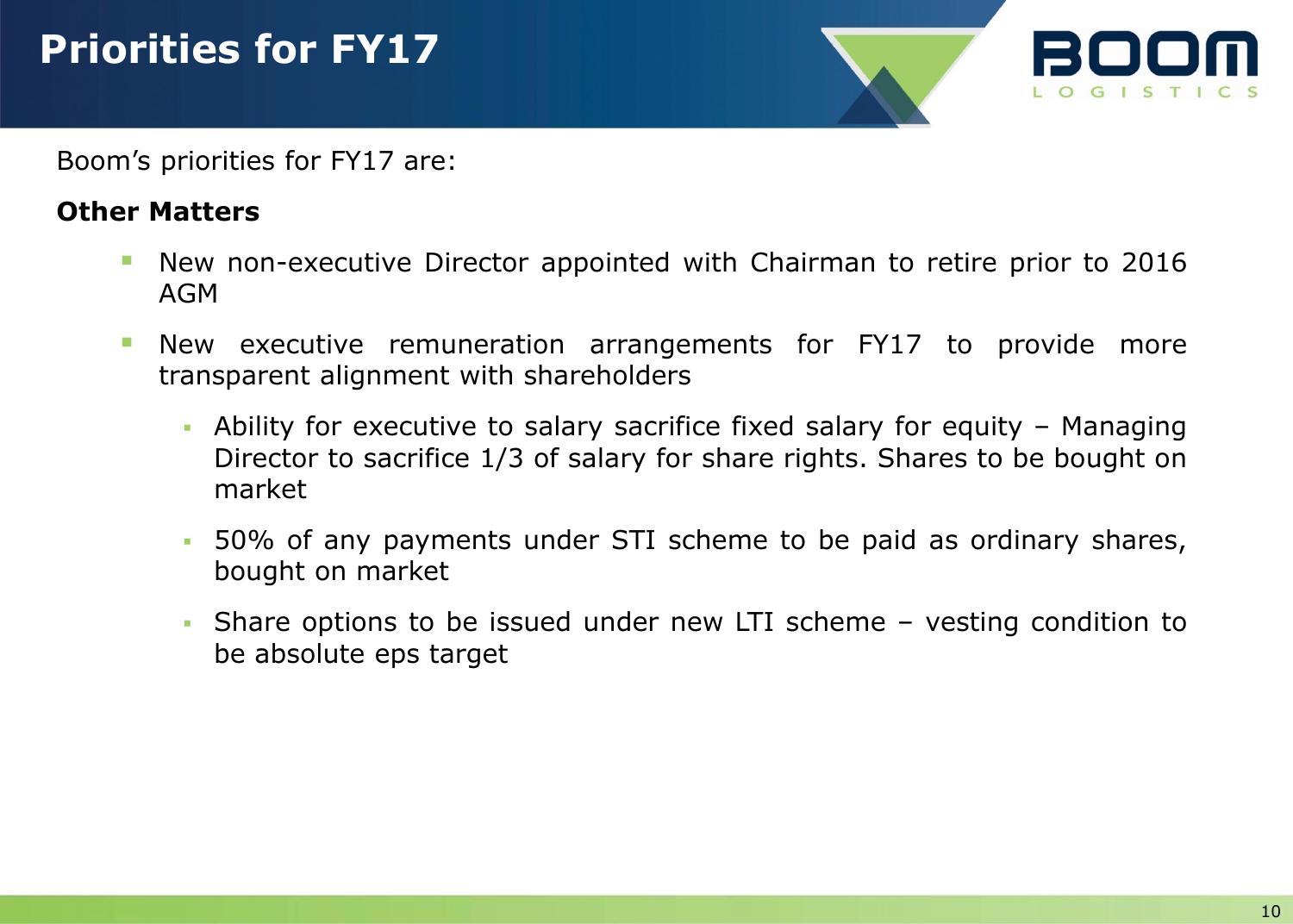Boom's priorities for FY17 are:

#### **Other Matters**

- New non-executive Director appointed with Chairman to retire prior to 2016 AGM
- **New executive remuneration arrangements for FY17 to provide more** transparent alignment with shareholders
	- Ability for executive to salary sacrifice fixed salary for equity Managing Director to sacrifice 1/3 of salary for share rights. Shares to be bought on market
	- 50% of any payments under STI scheme to be paid as ordinary shares, bought on market
	- Share options to be issued under new LTI scheme vesting condition to be absolute eps target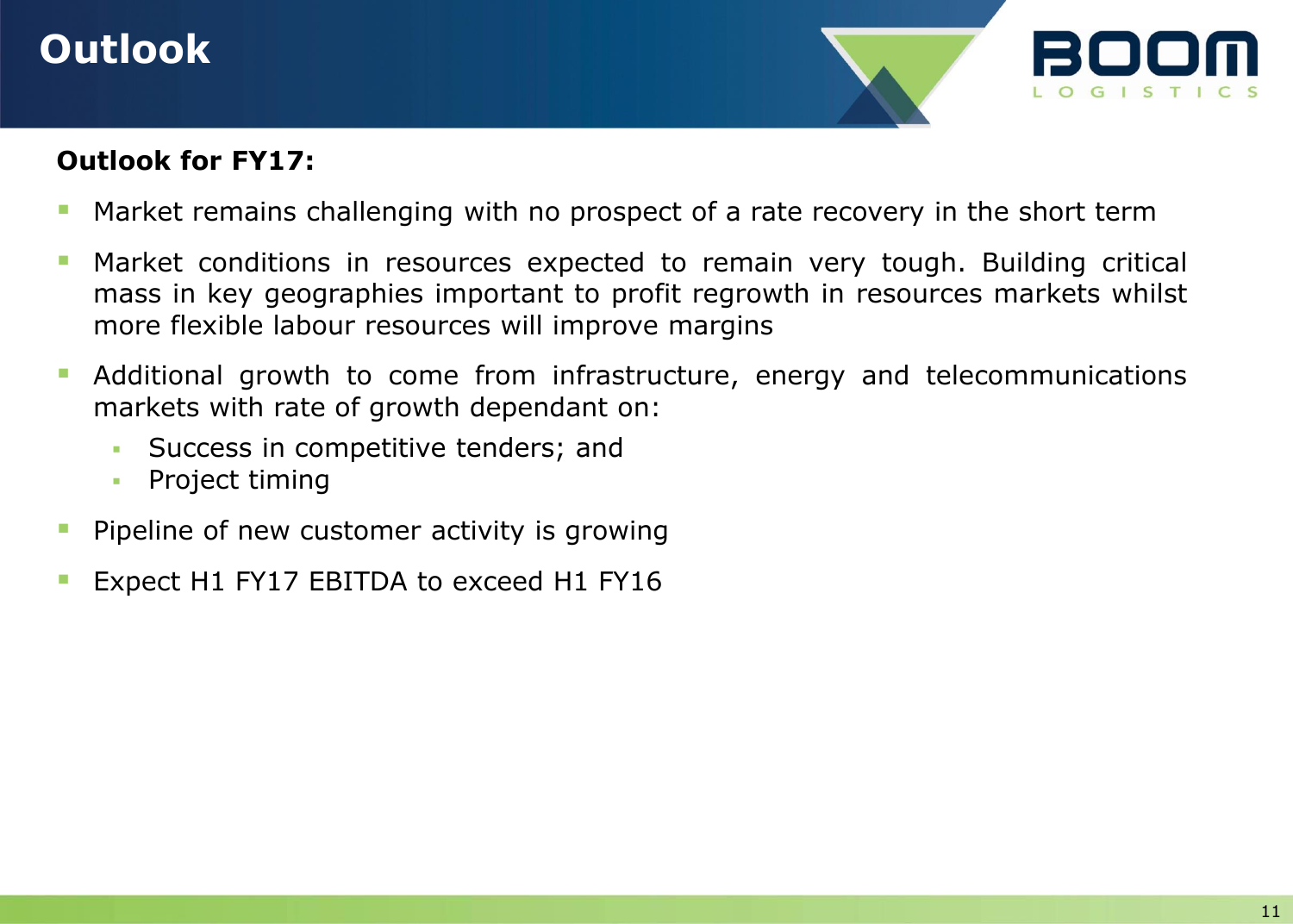### **Outlook**



#### **Outlook for FY17:**

- **Market remains challenging with no prospect of a rate recovery in the short term**
- Market conditions in resources expected to remain very tough. Building critical mass in key geographies important to profit regrowth in resources markets whilst more flexible labour resources will improve margins
- Additional growth to come from infrastructure, energy and telecommunications markets with rate of growth dependant on:
	- **Success in competitive tenders; and**
	- **Project timing**
- Pipeline of new customer activity is growing
- Expect H1 FY17 EBITDA to exceed H1 FY16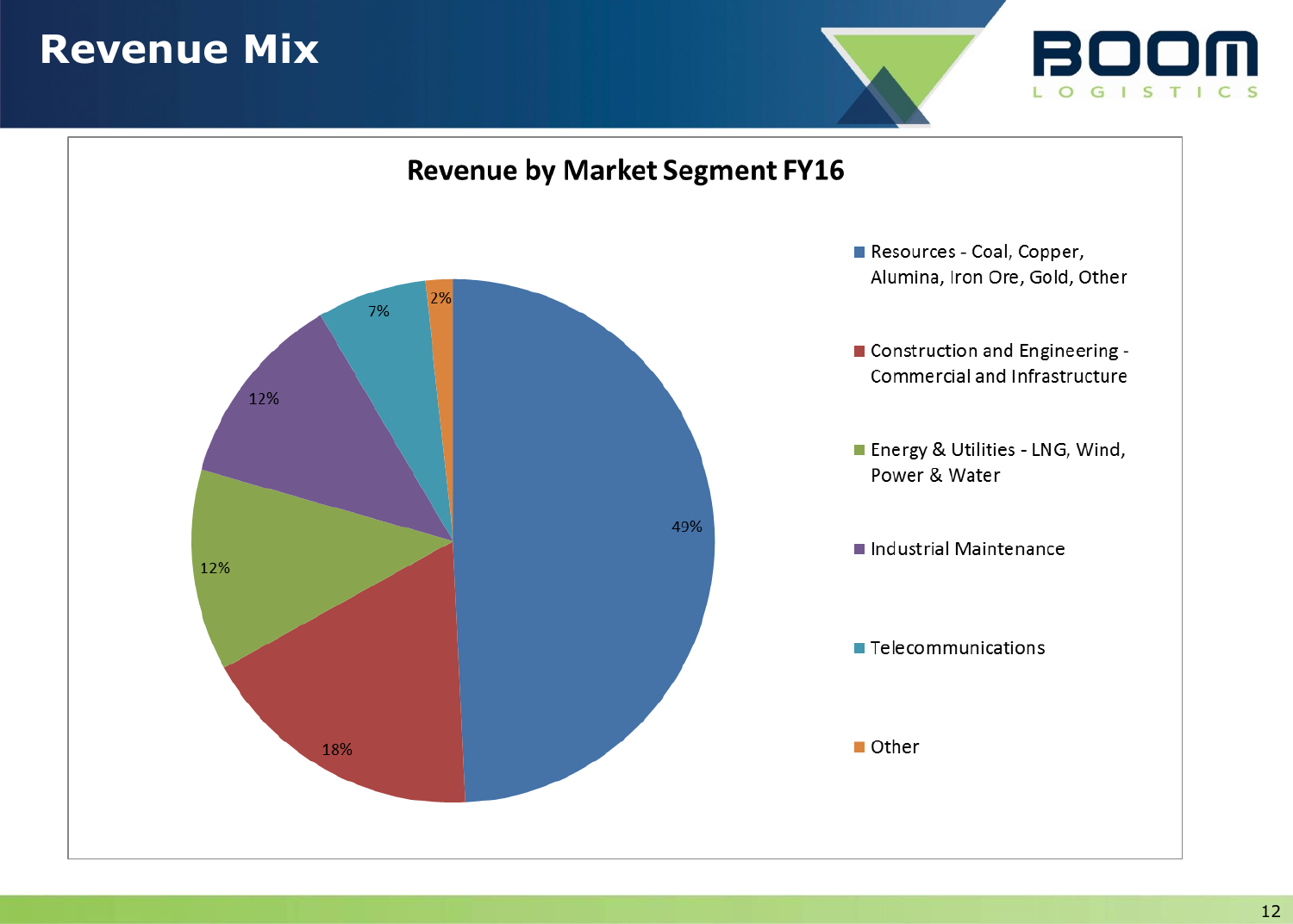### **Revenue Mix**



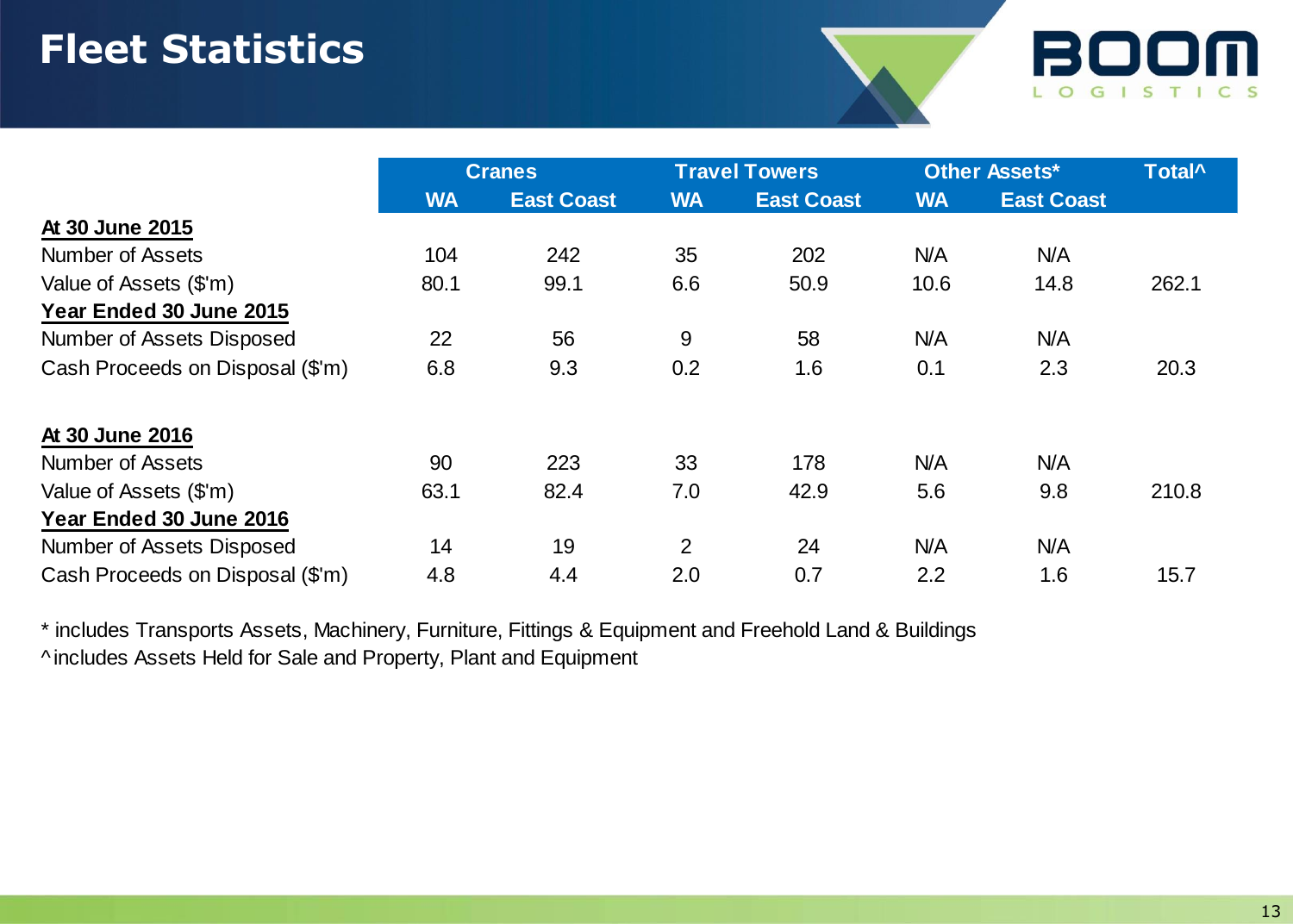### **Fleet Statistics**



|                                  | <b>Cranes</b> |                   |                | <b>Travel Towers</b> | <b>Other Assets*</b> |                   | Total <sup>^</sup> |
|----------------------------------|---------------|-------------------|----------------|----------------------|----------------------|-------------------|--------------------|
|                                  | <b>WA</b>     | <b>East Coast</b> | <b>WA</b>      | <b>East Coast</b>    | <b>WA</b>            | <b>East Coast</b> |                    |
| At 30 June 2015                  |               |                   |                |                      |                      |                   |                    |
| Number of Assets                 | 104           | 242               | 35             | 202                  | N/A                  | N/A               |                    |
| Value of Assets (\$'m)           | 80.1          | 99.1              | 6.6            | 50.9                 | 10.6                 | 14.8              | 262.1              |
| Year Ended 30 June 2015          |               |                   |                |                      |                      |                   |                    |
| Number of Assets Disposed        | 22            | 56                | 9              | 58                   | N/A                  | N/A               |                    |
| Cash Proceeds on Disposal (\$'m) | 6.8           | 9.3               | 0.2            | 1.6                  | 0.1                  | 2.3               | 20.3               |
| At 30 June 2016                  |               |                   |                |                      |                      |                   |                    |
| Number of Assets                 | 90            | 223               | 33             | 178                  | N/A                  | N/A               |                    |
| Value of Assets (\$'m)           | 63.1          | 82.4              | 7.0            | 42.9                 | 5.6                  | 9.8               | 210.8              |
| Year Ended 30 June 2016          |               |                   |                |                      |                      |                   |                    |
| Number of Assets Disposed        | 14            | 19                | $\overline{2}$ | 24                   | N/A                  | N/A               |                    |
| Cash Proceeds on Disposal (\$'m) | 4.8           | 4.4               | 2.0            | 0.7                  | 2.2                  | 1.6               | 15.7               |

\* includes Transports Assets, Machinery, Furniture, Fittings & Equipment and Freehold Land & Buildings ^ includes Assets Held for Sale and Property, Plant and Equipment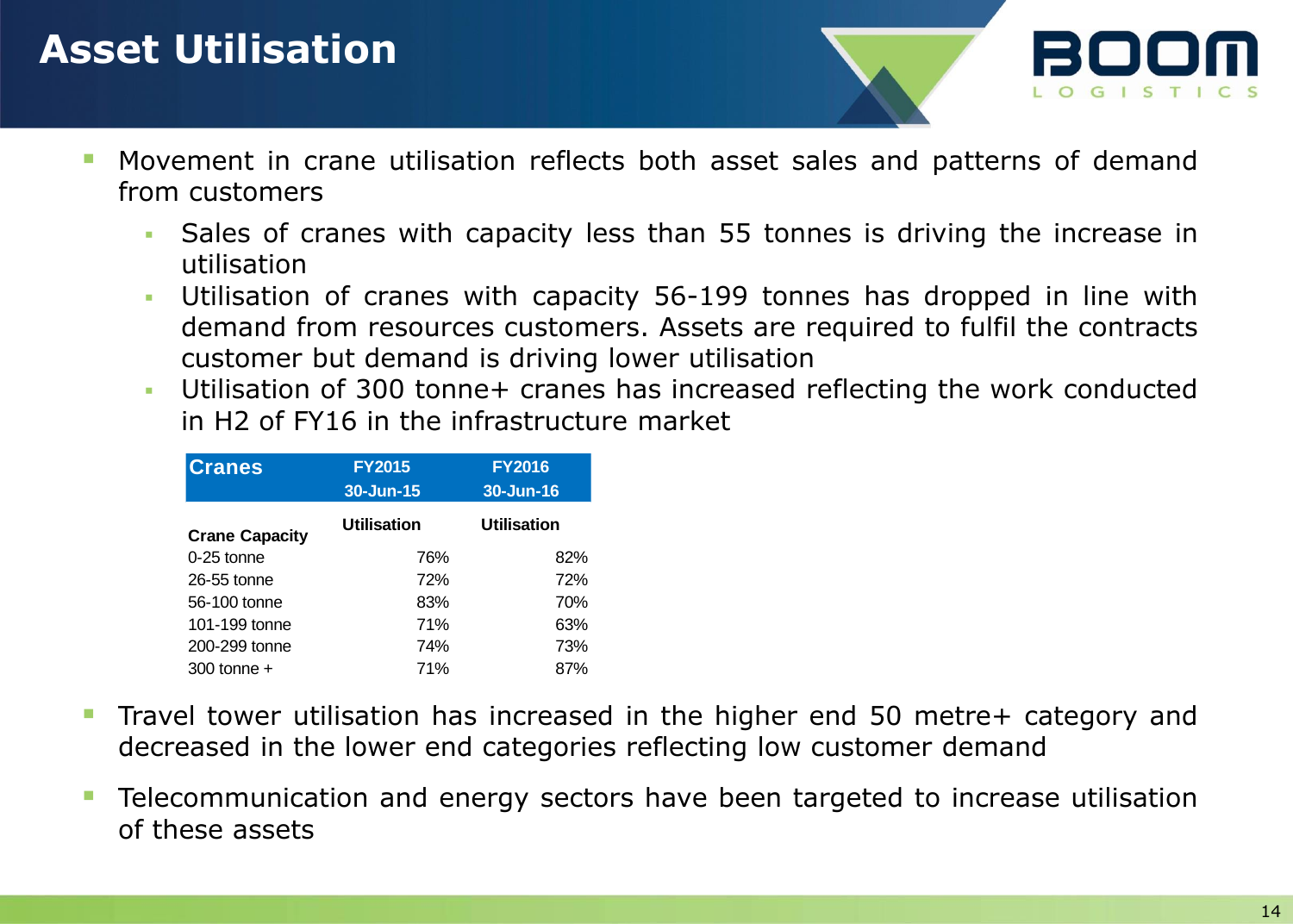### **Asset Utilisation**

- Movement in crane utilisation reflects both asset sales and patterns of demand from customers
	- Sales of cranes with capacity less than 55 tonnes is driving the increase in utilisation
	- Utilisation of cranes with capacity 56-199 tonnes has dropped in line with demand from resources customers. Assets are required to fulfil the contracts customer but demand is driving lower utilisation
	- Utilisation of 300 tonne+ cranes has increased reflecting the work conducted in H2 of FY16 in the infrastructure market

| <b>Cranes</b>         | <b>FY2015</b>      | <b>FY2016</b>      |  |  |
|-----------------------|--------------------|--------------------|--|--|
|                       | 30-Jun-15          | 30-Jun-16          |  |  |
| <b>Crane Capacity</b> | <b>Utilisation</b> | <b>Utilisation</b> |  |  |
| 0-25 tonne            | 76%                | 82%                |  |  |
| 26-55 tonne           | 72%                | 72%                |  |  |
| 56-100 tonne          | 83%                | 70%                |  |  |
| 101-199 tonne         | 71%                | 63%                |  |  |
| 200-299 tonne         | 74%                | 73%                |  |  |
| 300 tonne $+$         | 71%                | 87%                |  |  |

- Travel tower utilisation has increased in the higher end 50 metre+ category and decreased in the lower end categories reflecting low customer demand
- Telecommunication and energy sectors have been targeted to increase utilisation of these assets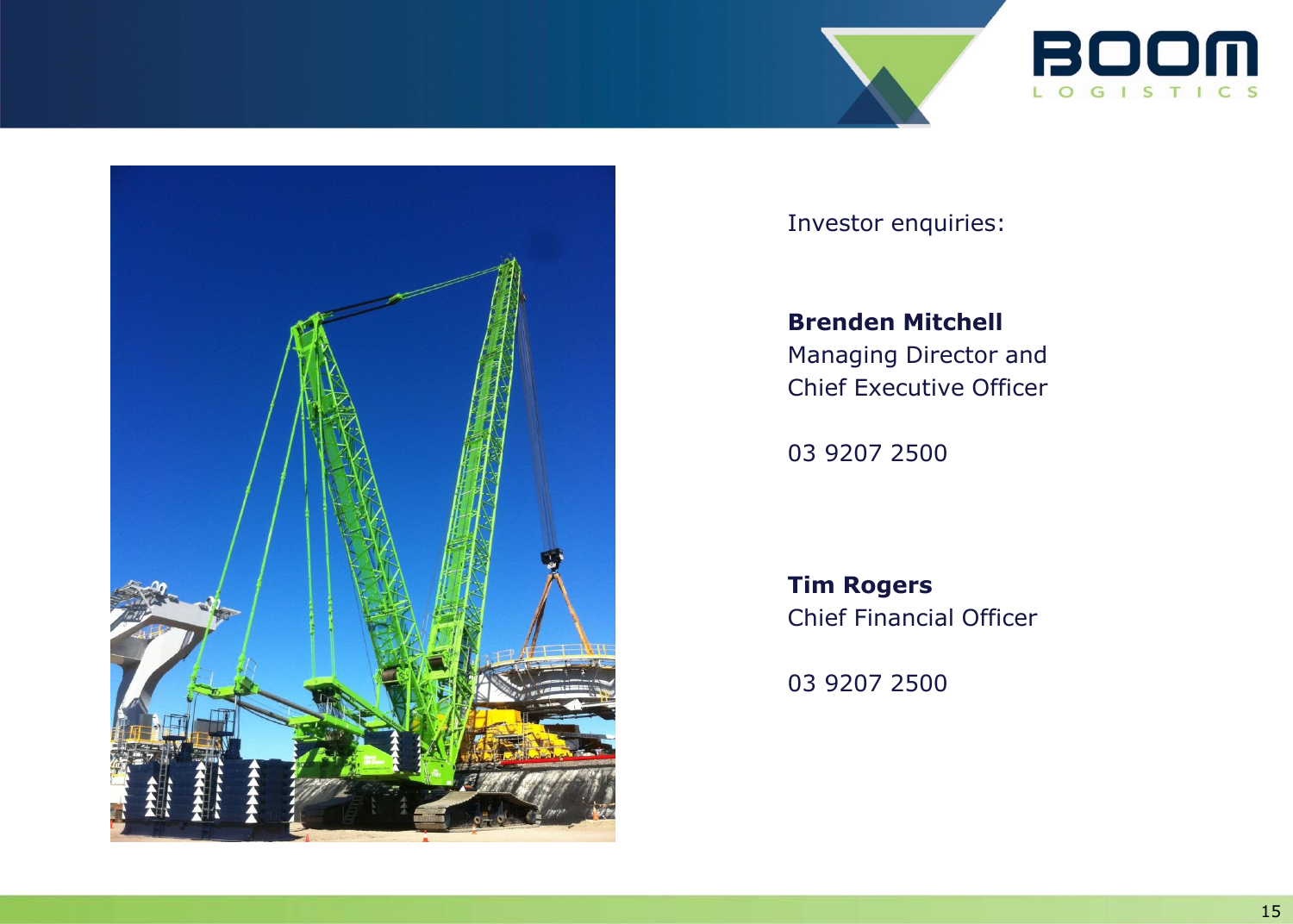



Investor enquiries:

**Brenden Mitchell** Managing Director and Chief Executive Officer

03 9207 2500

**Tim Rogers** Chief Financial Officer

03 9207 2500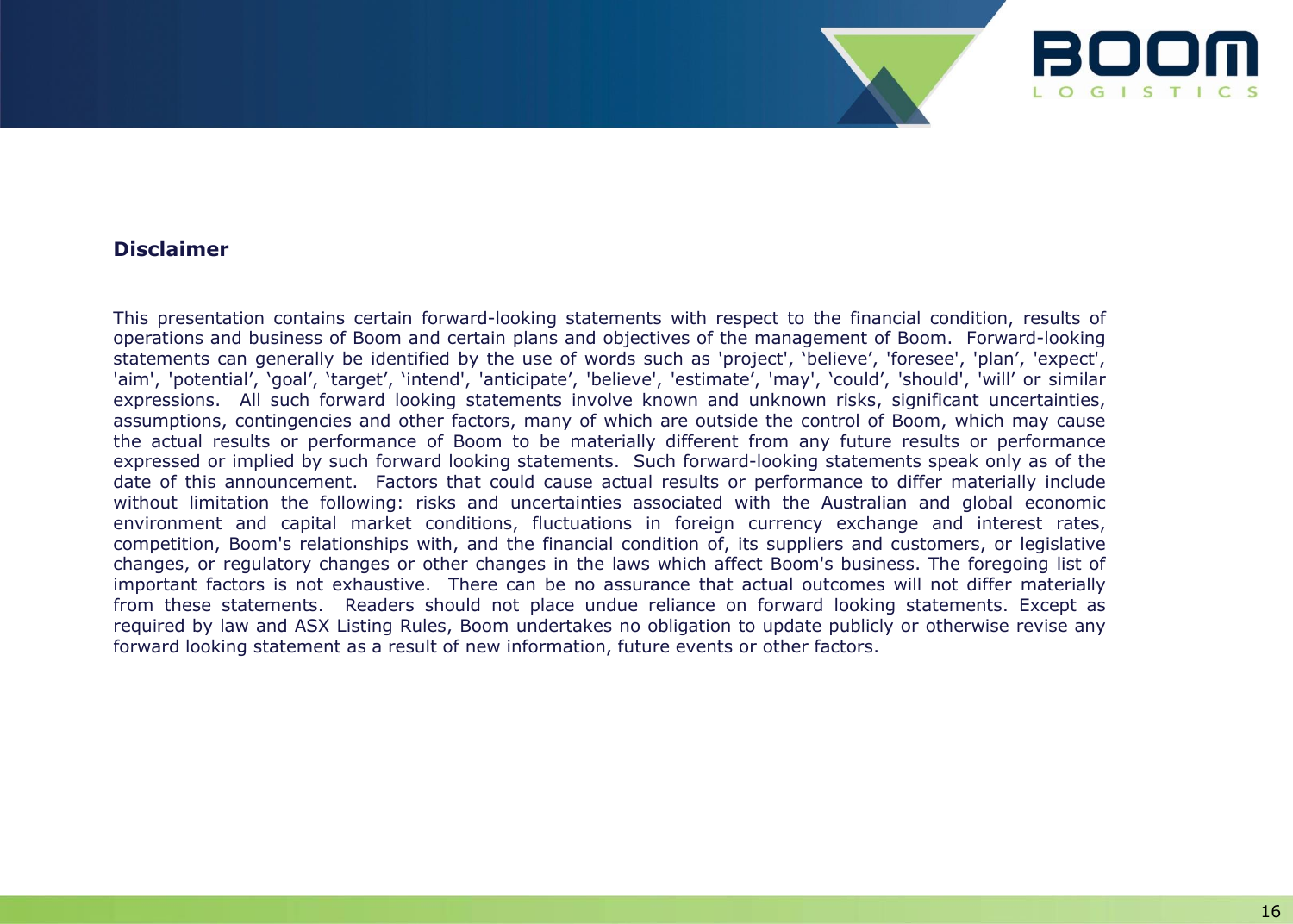

#### **Disclaimer**

This presentation contains certain forward-looking statements with respect to the financial condition, results of operations and business of Boom and certain plans and objectives of the management of Boom. Forward-looking statements can generally be identified by the use of words such as 'project', 'believe', 'foresee', 'plan', 'expect', 'aim', 'potential', 'goal', 'target', 'intend', 'anticipate', 'believe', 'estimate', 'may', 'could', 'should', 'will' or similar expressions. All such forward looking statements involve known and unknown risks, significant uncertainties, assumptions, contingencies and other factors, many of which are outside the control of Boom, which may cause the actual results or performance of Boom to be materially different from any future results or performance expressed or implied by such forward looking statements. Such forward-looking statements speak only as of the date of this announcement. Factors that could cause actual results or performance to differ materially include without limitation the following: risks and uncertainties associated with the Australian and global economic environment and capital market conditions, fluctuations in foreign currency exchange and interest rates, competition, Boom's relationships with, and the financial condition of, its suppliers and customers, or legislative changes, or regulatory changes or other changes in the laws which affect Boom's business. The foregoing list of important factors is not exhaustive. There can be no assurance that actual outcomes will not differ materially from these statements. Readers should not place undue reliance on forward looking statements. Except as required by law and ASX Listing Rules, Boom undertakes no obligation to update publicly or otherwise revise any forward looking statement as a result of new information, future events or other factors.